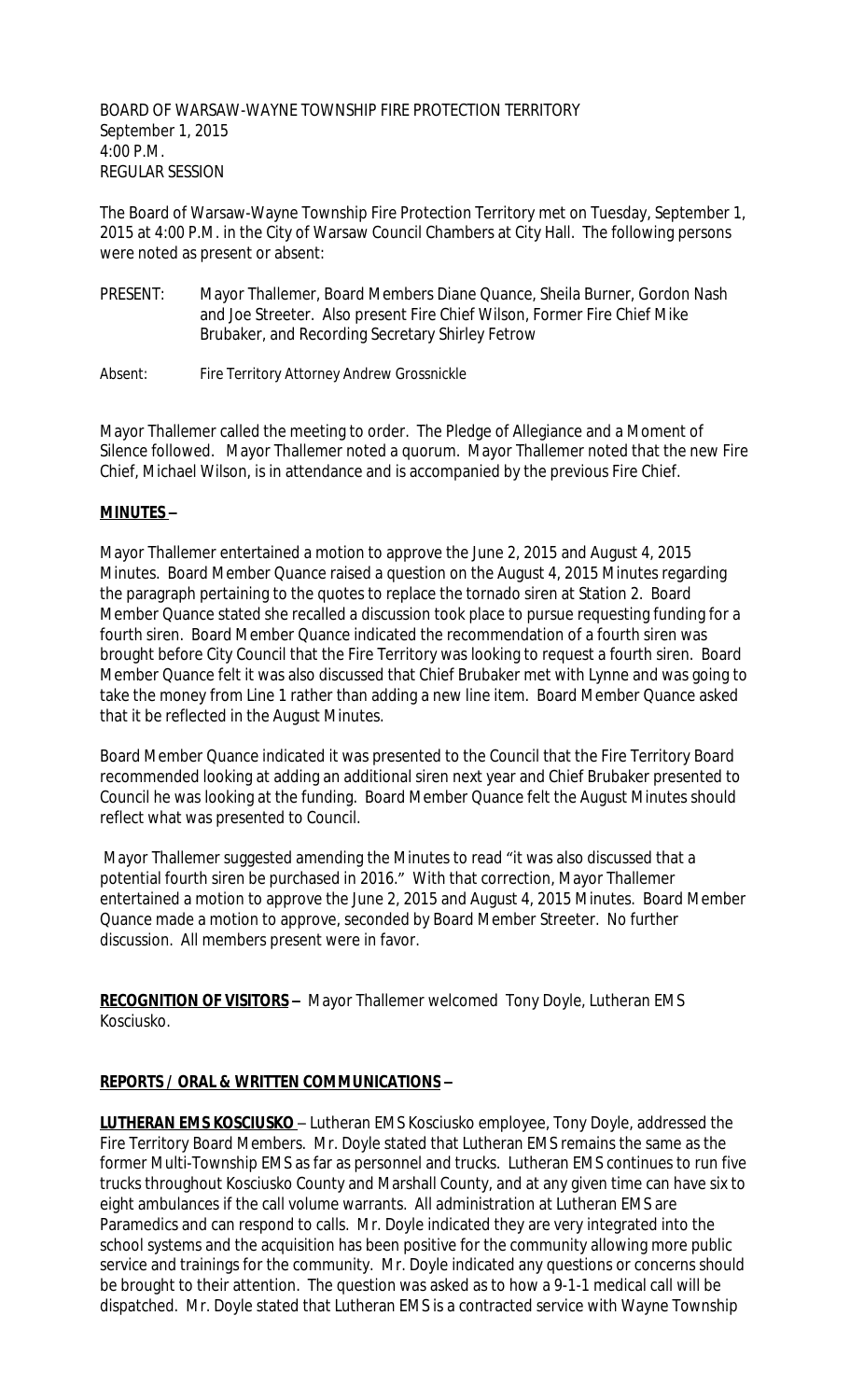BOARD OF WARSAW-WAYNE TOWNSHIP FIRE PROTECTION TERRITORY September 1, 2015 4:00 P.M. REGULAR SESSION

The Board of Warsaw-Wayne Township Fire Protection Territory met on Tuesday, September 1, 2015 at 4:00 P.M. in the City of Warsaw Council Chambers at City Hall. The following persons were noted as present or absent:

- PRESENT: Mayor Thallemer, Board Members Diane Quance, Sheila Burner, Gordon Nash and Joe Streeter. Also present Fire Chief Wilson, Former Fire Chief Mike Brubaker, and Recording Secretary Shirley Fetrow
- Absent: Fire Territory Attorney Andrew Grossnickle

Mayor Thallemer called the meeting to order. The Pledge of Allegiance and a Moment of Silence followed. Mayor Thallemer noted a quorum. Mayor Thallemer noted that the new Fire Chief, Michael Wilson, is in attendance and is accompanied by the previous Fire Chief.

#### **MINUTES –**

Mayor Thallemer entertained a motion to approve the June 2, 2015 and August 4, 2015 Minutes. Board Member Quance raised a question on the August 4, 2015 Minutes regarding the paragraph pertaining to the quotes to replace the tornado siren at Station 2. Board Member Quance stated she recalled a discussion took place to pursue requesting funding for a fourth siren. Board Member Quance indicated the recommendation of a fourth siren was brought before City Council that the Fire Territory was looking to request a fourth siren. Board Member Quance felt it was also discussed that Chief Brubaker met with Lynne and was going to take the money from Line 1 rather than adding a new line item. Board Member Quance asked that it be reflected in the August Minutes.

Board Member Quance indicated it was presented to the Council that the Fire Territory Board recommended looking at adding an additional siren next year and Chief Brubaker presented to Council he was looking at the funding. Board Member Quance felt the August Minutes should reflect what was presented to Council.

 Mayor Thallemer suggested amending the Minutes to read "it was also discussed that a potential fourth siren be purchased in 2016." With that correction, Mayor Thallemer entertained a motion to approve the June 2, 2015 and August 4, 2015 Minutes. Board Member Quance made a motion to approve, seconded by Board Member Streeter. No further discussion. All members present were in favor.

**RECOGNITION OF VISITORS –** Mayor Thallemer welcomed Tony Doyle, Lutheran EMS Kosciusko.

#### **REPORTS / ORAL & WRITTEN COMMUNICATIONS –**

**LUTHERAN EMS KOSCIUSKO** – Lutheran EMS Kosciusko employee, Tony Doyle, addressed the Fire Territory Board Members. Mr. Doyle stated that Lutheran EMS remains the same as the former Multi-Township EMS as far as personnel and trucks. Lutheran EMS continues to run five trucks throughout Kosciusko County and Marshall County, and at any given time can have six to eight ambulances if the call volume warrants. All administration at Lutheran EMS are Paramedics and can respond to calls. Mr. Doyle indicated they are very integrated into the school systems and the acquisition has been positive for the community allowing more public service and trainings for the community. Mr. Doyle indicated any questions or concerns should be brought to their attention. The question was asked as to how a 9-1-1 medical call will be dispatched. Mr. Doyle stated that Lutheran EMS is a contracted service with Wayne Township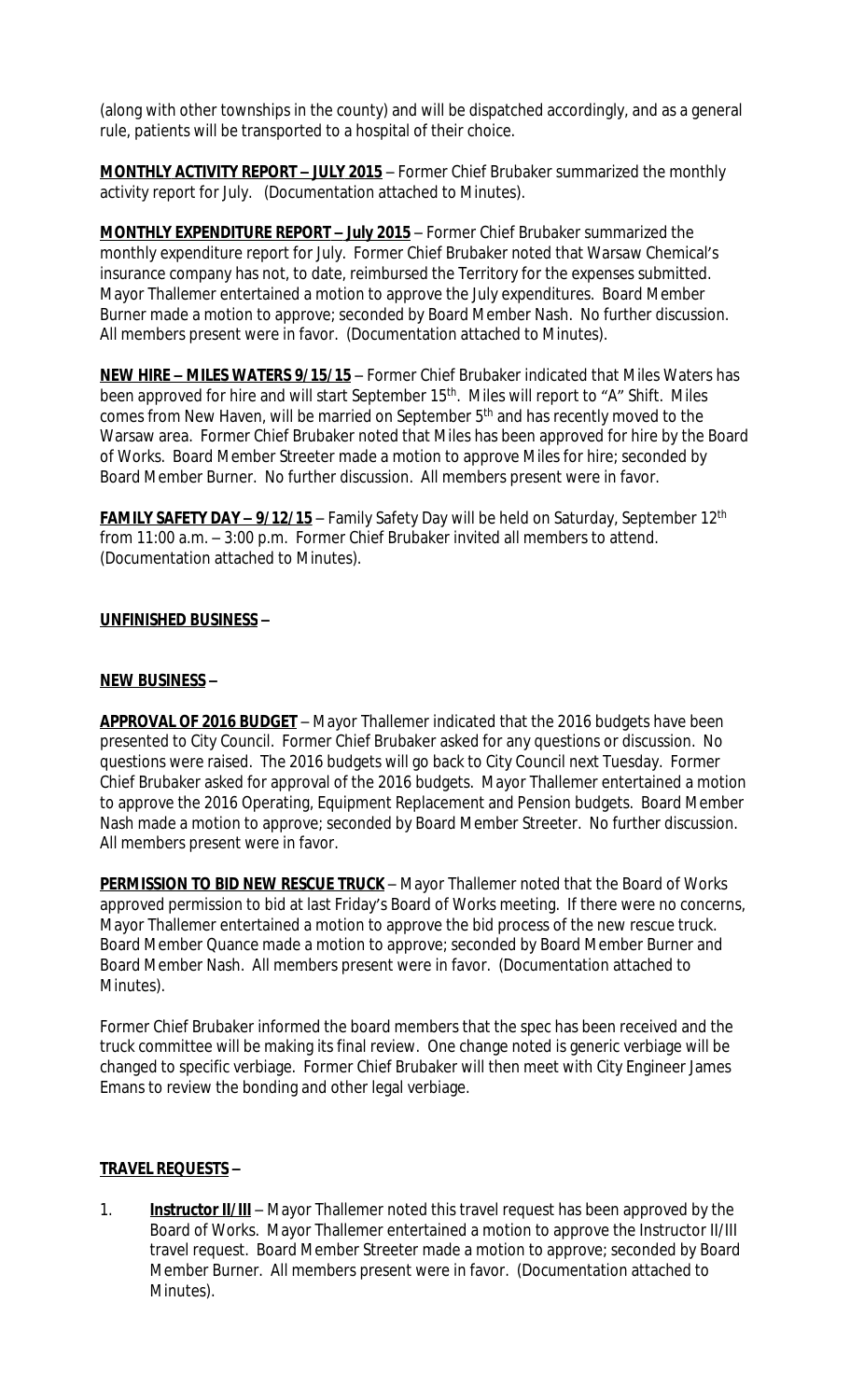(along with other townships in the county) and will be dispatched accordingly, and as a general rule, patients will be transported to a hospital of their choice.

**MONTHLY ACTIVITY REPORT – JULY 2015** – Former Chief Brubaker summarized the monthly activity report for July. (Documentation attached to Minutes).

**MONTHLY EXPENDITURE REPORT – July 2015** – Former Chief Brubaker summarized the monthly expenditure report for July. Former Chief Brubaker noted that Warsaw Chemical's insurance company has not, to date, reimbursed the Territory for the expenses submitted. Mayor Thallemer entertained a motion to approve the July expenditures. Board Member Burner made a motion to approve; seconded by Board Member Nash. No further discussion. All members present were in favor. (Documentation attached to Minutes).

**NEW HIRE – MILES WATERS 9/15/15** – Former Chief Brubaker indicated that Miles Waters has been approved for hire and will start September 15<sup>th</sup>. Miles will report to "A" Shift. Miles comes from New Haven, will be married on September 5<sup>th</sup> and has recently moved to the Warsaw area. Former Chief Brubaker noted that Miles has been approved for hire by the Board of Works. Board Member Streeter made a motion to approve Miles for hire; seconded by Board Member Burner. No further discussion. All members present were in favor.

**FAMILY SAFETY DAY - 9/12/15** - Family Safety Day will be held on Saturday, September 12<sup>th</sup> from 11:00 a.m. – 3:00 p.m. Former Chief Brubaker invited all members to attend. (Documentation attached to Minutes).

## **UNFINISHED BUSINESS –**

#### **NEW BUSINESS –**

**APPROVAL OF 2016 BUDGET** – Mayor Thallemer indicated that the 2016 budgets have been presented to City Council. Former Chief Brubaker asked for any questions or discussion. No questions were raised. The 2016 budgets will go back to City Council next Tuesday. Former Chief Brubaker asked for approval of the 2016 budgets. Mayor Thallemer entertained a motion to approve the 2016 Operating, Equipment Replacement and Pension budgets. Board Member Nash made a motion to approve; seconded by Board Member Streeter. No further discussion. All members present were in favor.

**PERMISSION TO BID NEW RESCUE TRUCK** - Mayor Thallemer noted that the Board of Works approved permission to bid at last Friday's Board of Works meeting. If there were no concerns, Mayor Thallemer entertained a motion to approve the bid process of the new rescue truck. Board Member Quance made a motion to approve; seconded by Board Member Burner and Board Member Nash. All members present were in favor. (Documentation attached to Minutes).

Former Chief Brubaker informed the board members that the spec has been received and the truck committee will be making its final review. One change noted is generic verbiage will be changed to specific verbiage. Former Chief Brubaker will then meet with City Engineer James Emans to review the bonding and other legal verbiage.

#### **TRAVEL REQUESTS –**

1. **Instructor II/III** – Mayor Thallemer noted this travel request has been approved by the Board of Works. Mayor Thallemer entertained a motion to approve the Instructor II/III travel request. Board Member Streeter made a motion to approve; seconded by Board Member Burner. All members present were in favor. (Documentation attached to Minutes).